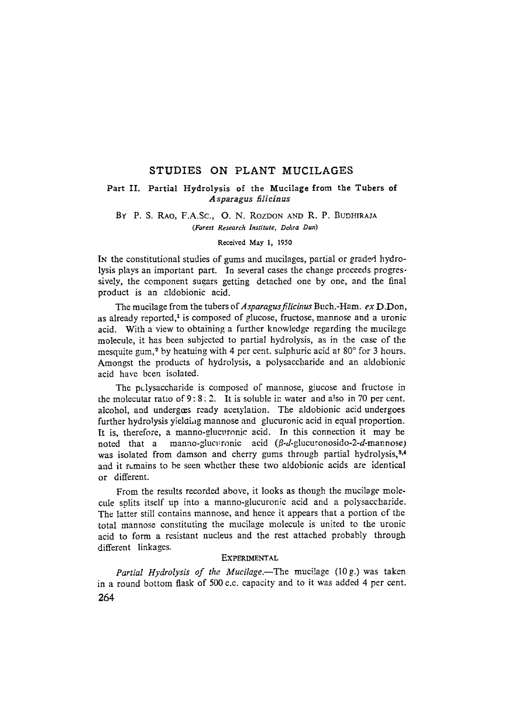# STUDIES ON PLANT MUCILAGES

### Part II. Partial Hydrolysis of the Mucilage from the Tubers of *Asparagus filieinus*

## BY P. S. RAO, F.A.Sc., O. N. ROZDON AND R. P. BUDHIRAIA *(Forest Research Institute, Dehra Dun)*

#### Received May 1, 1950

IN the constitutional studies of gums and mucilages, partial or graded hydrolysis plays an important part. In several cases the change prcceeds progressively, the component sugars getting detached one by one, and the final product is an aldobionic acid.

The mucilage from the tubers of *Asparagusfilicinus* Buch.-Ham. *ex* D.Don, as already reported, $<sup>1</sup>$  is composed of glucose, fructose, mannose and a uronic</sup> acid. With a view to obtaining a further knowledge regarding the mucilege molecule, it has been subjected to partial hydrolysis, as in the case of the mesquite gum,<sup>2</sup> by heatuing with 4 per cent. sulphuric acid at  $80^{\circ}$  for 3 hours. Amongst the products of hydrolysis, a polysaccharide and an aldobionic acid have bcen isolated.

The polysaccharide is composed of mannose, giucose and fructose in the molecutar ratio of  $9:8:2$ . It is soluble in water and also in 70 per cent. alcohol, and undergœs ready acetylation. The aldobionic acid undergoes further hydrolysis yielding mannose and glucuronic acid in equal proportion. It is, therefore, a manno-glucuronic acid. In this connection it may be noted that a manno-glucuronic acid ( $\beta$ -*d*-glucuronosido-2-*d*-mannose) was isolated from damson and cherry gums through partial hydrolysis, $3,4$ and it remains to be seen whether these two aldobionic acids are identical or different.

From the results recorded above, it looks as though the mucilage molecule splits itself up into a manno-glucuronic acid and a polysaccharide. The latter still contains mannose, and hence it appears that a portion of the total mannose constituting the mucilage molecule is united to the uronic acid to form a resistant nucleus and the rest attached probably through different linkages.

#### **EXPERIMENTAL**

Partial Hydrolysis of the Mucilage.--The mucilage (10g.) was taken in a round bottom flask of 500 c.c. capacity and to it was added 4 per cent. 264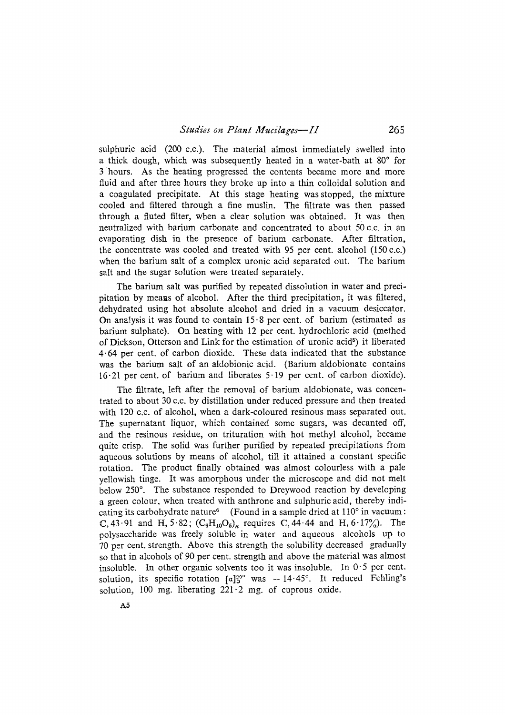sulphuric acid (200 c.c.). The material almost immediately swelled into a thick dough, which was subsequently heated in a water-bath at  $80^\circ$  for 3 hours. As the heating progressed the contents became more and more fluid and after three hours they broke up into a thin colloidal solution and a coagulated precipitate. At this stage heating was stopped, the mixture cooled and filtered through a fine muslin. The filtrate was then passed through a fluted filter, when a clear solution was obtained. It was then neutralized with barium carbonate and concentrated to about 50 c.c. in ah evaporating dish in the presence of barium carbonate. After filtration, the concentrate was cooled and treated with 95 per cent. alcohol  $(150 c.c.)$ when the barium salt of a complex uronic acid separated out. The barium saIt and the sugar solution were treated separately.

The barium salt was purified by repeated dissolution in water and precipitation by means of alcohol. After the third precipitation, it was filtered, dehydrated using hot absolute alcohol and dried in a vacuum desiccator. On analysis it was found to contain  $15.8$  per cent. of barium (estimated as barium sulphate). On heating with 12 per cent. hydrochloric acid (method of Dickson, Otterson and Link for the estimation of uronic acid<sup>5</sup>) it liberated 4-64 per cent. of carbon dioxide. These data indicated that the substance was the barium salt of an aldobionic acid. (Barium aldobionate contains 16.21 per cent. of barium and liberates 5-19 per cent. of carbon dioxide).

The filtrate, left after the removal of barium aldobionate, was concentrated to about 30 c.c. by distillation under reduced pressure and then treated with 120 c.c. of alcohol, when a dark-coloured resinous mass separated out. The supernatant liquor, which contained some sugars, was decanted off, and the resinous residue, on trituration with hot methyl alcohol, became quite crisp. The solid was further purified by repeated precipitations from aqueous, solutions by means of alcohol, till ir attained a constant specific rotation. The product finally obtained was almost colourless with a pale yellowish tinge. Ir was amorphous under the microscope and did not melt below 250°. The substance responded to Dreywood reaction by developing a green colour, when treated with anthrone and sulphuric acid, thereby indicating its carbohydrate nature<sup>6</sup> (Found in a sample dried at  $110^{\circ}$  in vacuum : C, 43.91 and H, 5.82;  $(C_6H_{10}O_5)_n$  requires C, 44.44 and H, 6.17%). The polysaccharide was freely soluble in water and aqueous alcohols up to 70 per cent. strength. Above this strength the solubility decreased gradually so that in alcohols of 90 per cent. strength and above the material was almost insoluble. In other organic solvents too it was insoluble. In  $0.5$  per cent. solution, its specific rotation  $[a]_0^{20}$  was  $-14.45^\circ$ . It reduced Fehling's solution, 100 mg. liberating  $221 \cdot 2$  mg. of cuprous oxide,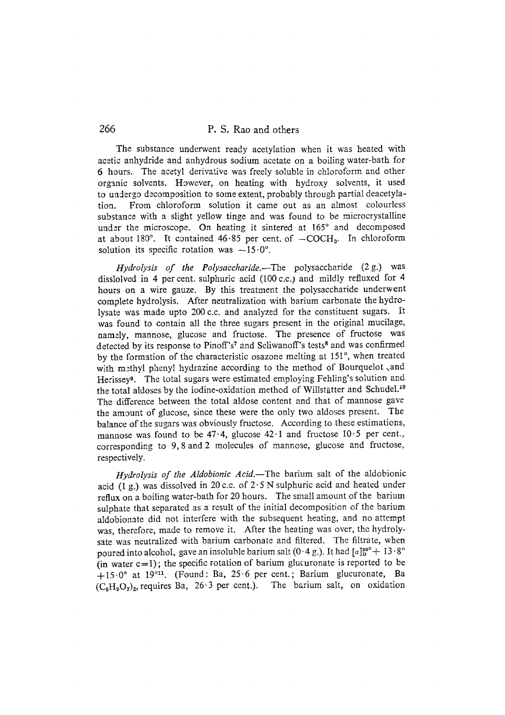# 266 P. S. Rao and others

The substance underwent ready acetylation when it was heated with acetic anhydride and anhydrous sodium acetate on a boiling water-bath for 6 hours. The acetyl derivative was freely soluble in chloroform and other organic solvents. However, on heating with hydroxy solvents, it used to uadergo decomposition to some extent, probably through partial deacetylation. From chloroform solution it came out as an almost colourless substance with a slight yellow tinge and was found to be microcrystalline under the microscope. On heating it sintered at 165° and decomposed at about 180 $^{\circ}$ . It contained 46.85 per cent. of  $-COCH<sub>3</sub>$ . In chloroform solution its specific rotation was  $-15.0^\circ$ .

*Hydrolysis of the Polysaccharide.--The* polysaccharide (2g.) was disslolved in 4 per cent. sulphuric acid (100 *c.c.)* and mildly refluxed for 4 hours on a wire gauze. By this treatment the polysaccharide underwent complete hydrolysis. After neutralization with barium carbonate the hydrolysate was made upto 200 c.c. and analyzed for the constituent sugars. Ir was found to contain all the three sugars present in the original mucilage, namely, mannose, glucose and fructose. The presence of fructose was detected by its response to Pinoff's<sup>7</sup> and Seliwanoff's tests<sup>8</sup> and was confirmed by the formation of the characteristic osazone melting at 151°, when treated with methyl phenyl hydrazine according to the method of Bourquelot, and Herissey<sup>9</sup>. The total sugars were estimated employing Fehling's solution and the total aldoses by the iodine-oxidation method of Willstätter and Schudel.<sup>10</sup> The difference between the total aldose content and that of mannose gave the amount of glucose, since these were the only two aldoses present. The balance of the sugars was obviously fructose. According to these estimations, mannose was found to be  $47.4$ , glucose  $42.1$  and fructose  $10.5$  per cent., corresponding to 9,8 and 2 molecules of mannose, glucose and fructose, respectively.

*Hydrolysis of the Aldobionic Acid.--The* barium salt of the aldobionic acid (1 g.) was dissolved in 20 c.c. of  $2.5$  N sulphuric acid and heated under reflux on a boiling water-bath for 20 hours. The small amount of the barium sulphate that separated as a result of the initial decomposition of the barium aldobionate did not interfere with the subsequent heating, and no attempt was, therefore, made to remove it. After the heating was over, the hydrolysate was neutralized with barium carbonate and filtered. The filtrate, when poured into alcohol, gave an insoluble barium salt (0.4 g.). It had  $[a]_{\rm D}^{\rm 20}+13.8^{\circ}$ (in water  $c=1$ ); the specific rotation of barium glucuronate is reported to be  $+15.0$ ° at 19°<sup>11</sup>. (Found: Ba, 25.6 per cent.; Barium glucuronate, Ba  $(C_6H_9O_7)_2$ , requires Ba, 26.3 per cent.). The barium salt, on oxidation